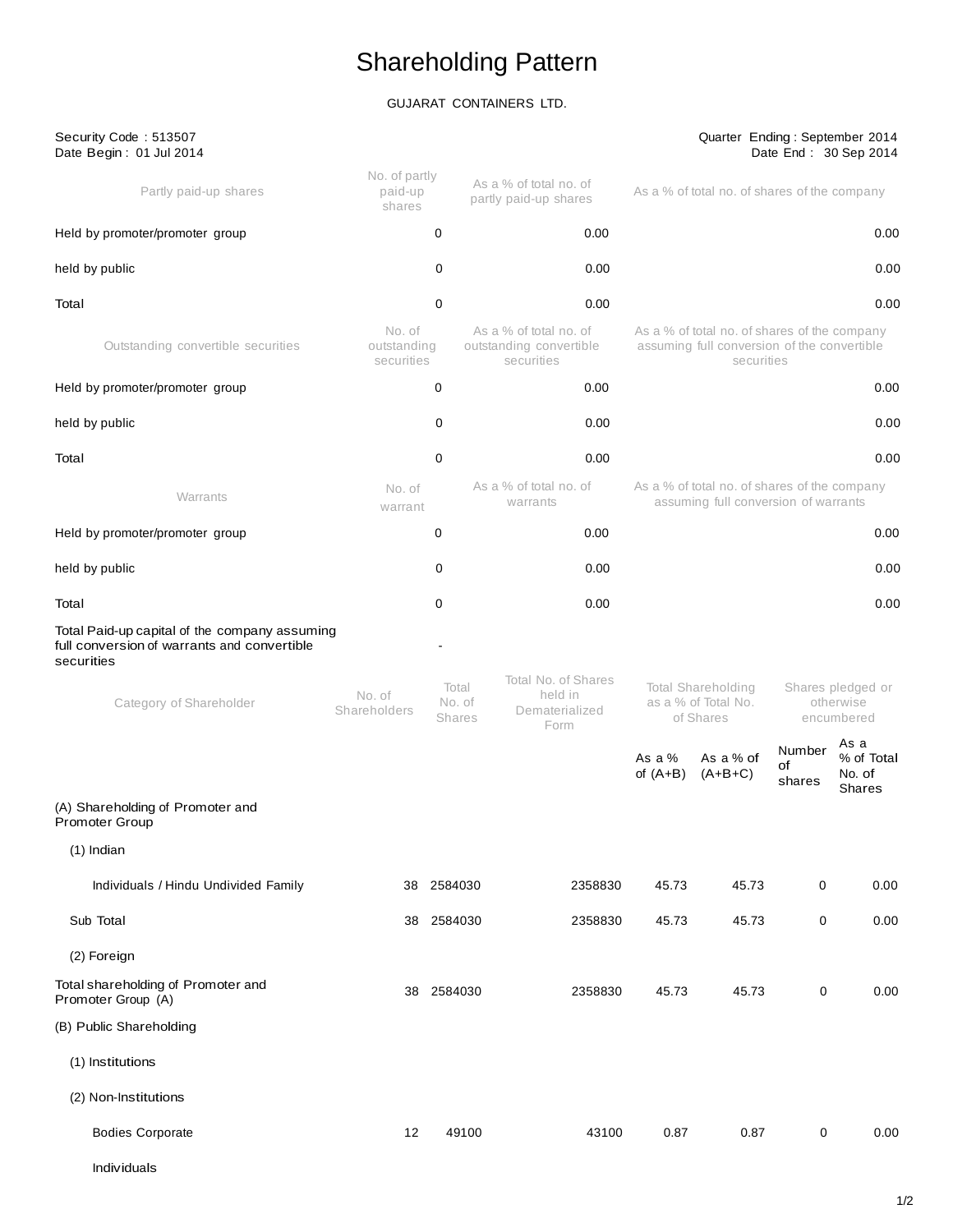# Shareholding Pattern

# GUJARAT CONTAINERS LTD.

| Security Code: 513507<br>Date Begin: 01 Jul 2014                                                           |                                     |                                  |                                                                 |                      | Quarter Ending: September 2014                                                                            |                        | Date End: 30 Sep 2014                         |
|------------------------------------------------------------------------------------------------------------|-------------------------------------|----------------------------------|-----------------------------------------------------------------|----------------------|-----------------------------------------------------------------------------------------------------------|------------------------|-----------------------------------------------|
| Partly paid-up shares                                                                                      | No. of partly<br>paid-up<br>shares  |                                  | As a % of total no. of<br>partly paid-up shares                 |                      | As a % of total no. of shares of the company                                                              |                        |                                               |
| Held by promoter/promoter group                                                                            |                                     | 0                                | 0.00                                                            |                      |                                                                                                           |                        | 0.00                                          |
| held by public                                                                                             |                                     | 0                                | 0.00                                                            |                      |                                                                                                           |                        | 0.00                                          |
| Total                                                                                                      |                                     | 0                                | 0.00                                                            |                      |                                                                                                           |                        | 0.00                                          |
| Outstanding convertible securities                                                                         | No. of<br>outstanding<br>securities |                                  | As a % of total no. of<br>outstanding convertible<br>securities |                      | As a % of total no. of shares of the company<br>assuming full conversion of the convertible<br>securities |                        |                                               |
| Held by promoter/promoter group                                                                            |                                     | 0                                | 0.00                                                            |                      |                                                                                                           |                        | 0.00                                          |
| held by public                                                                                             |                                     | 0                                | 0.00                                                            |                      |                                                                                                           |                        | 0.00                                          |
| Total                                                                                                      |                                     | 0                                | 0.00                                                            |                      |                                                                                                           |                        | 0.00                                          |
| Warrants                                                                                                   | No. of<br>warrant                   |                                  | As a % of total no, of<br>warrants                              |                      | As a % of total no. of shares of the company<br>assuming full conversion of warrants                      |                        |                                               |
| Held by promoter/promoter group                                                                            |                                     | 0                                | 0.00                                                            |                      |                                                                                                           |                        | 0.00                                          |
| held by public                                                                                             |                                     | 0                                | 0.00                                                            |                      |                                                                                                           |                        | 0.00                                          |
| Total                                                                                                      |                                     | 0                                | 0.00                                                            |                      |                                                                                                           |                        | 0.00                                          |
| Total Paid-up capital of the company assuming<br>full conversion of warrants and convertible<br>securities |                                     |                                  | Total No. of Shares                                             |                      |                                                                                                           |                        |                                               |
| Category of Shareholder                                                                                    | No. of<br>Shareholders              | Total<br>No. of<br><b>Shares</b> | held in<br>Dematerialized<br>Form                               |                      | <b>Total Shareholding</b><br>as a % of Total No.<br>of Shares                                             |                        | Shares pledged or<br>otherwise<br>encumbered  |
|                                                                                                            |                                     |                                  |                                                                 | As a %<br>of $(A+B)$ | As a % of<br>$(A+B+C)$                                                                                    | Number<br>of<br>shares | As a<br>% of Total<br>No. of<br><b>Shares</b> |
| (A) Shareholding of Promoter and<br>Promoter Group                                                         |                                     |                                  |                                                                 |                      |                                                                                                           |                        |                                               |
| $(1)$ Indian                                                                                               |                                     |                                  |                                                                 |                      |                                                                                                           |                        |                                               |
| Individuals / Hindu Undivided Family                                                                       |                                     | 38 2584030                       | 2358830                                                         | 45.73                | 45.73                                                                                                     | 0                      | 0.00                                          |
| Sub Total                                                                                                  |                                     | 38 2584030                       | 2358830                                                         | 45.73                | 45.73                                                                                                     | 0                      | 0.00                                          |
| (2) Foreign                                                                                                |                                     |                                  |                                                                 |                      |                                                                                                           |                        |                                               |
| Total shareholding of Promoter and<br>Promoter Group (A)                                                   |                                     | 38 2584030                       | 2358830                                                         | 45.73                | 45.73                                                                                                     | 0                      | 0.00                                          |
| (B) Public Shareholding                                                                                    |                                     |                                  |                                                                 |                      |                                                                                                           |                        |                                               |
| (1) Institutions                                                                                           |                                     |                                  |                                                                 |                      |                                                                                                           |                        |                                               |
| (2) Non-Institutions                                                                                       |                                     |                                  |                                                                 |                      |                                                                                                           |                        |                                               |
| <b>Bodies Corporate</b>                                                                                    | 12                                  | 49100                            | 43100                                                           | 0.87                 | 0.87                                                                                                      | $\pmb{0}$              | 0.00                                          |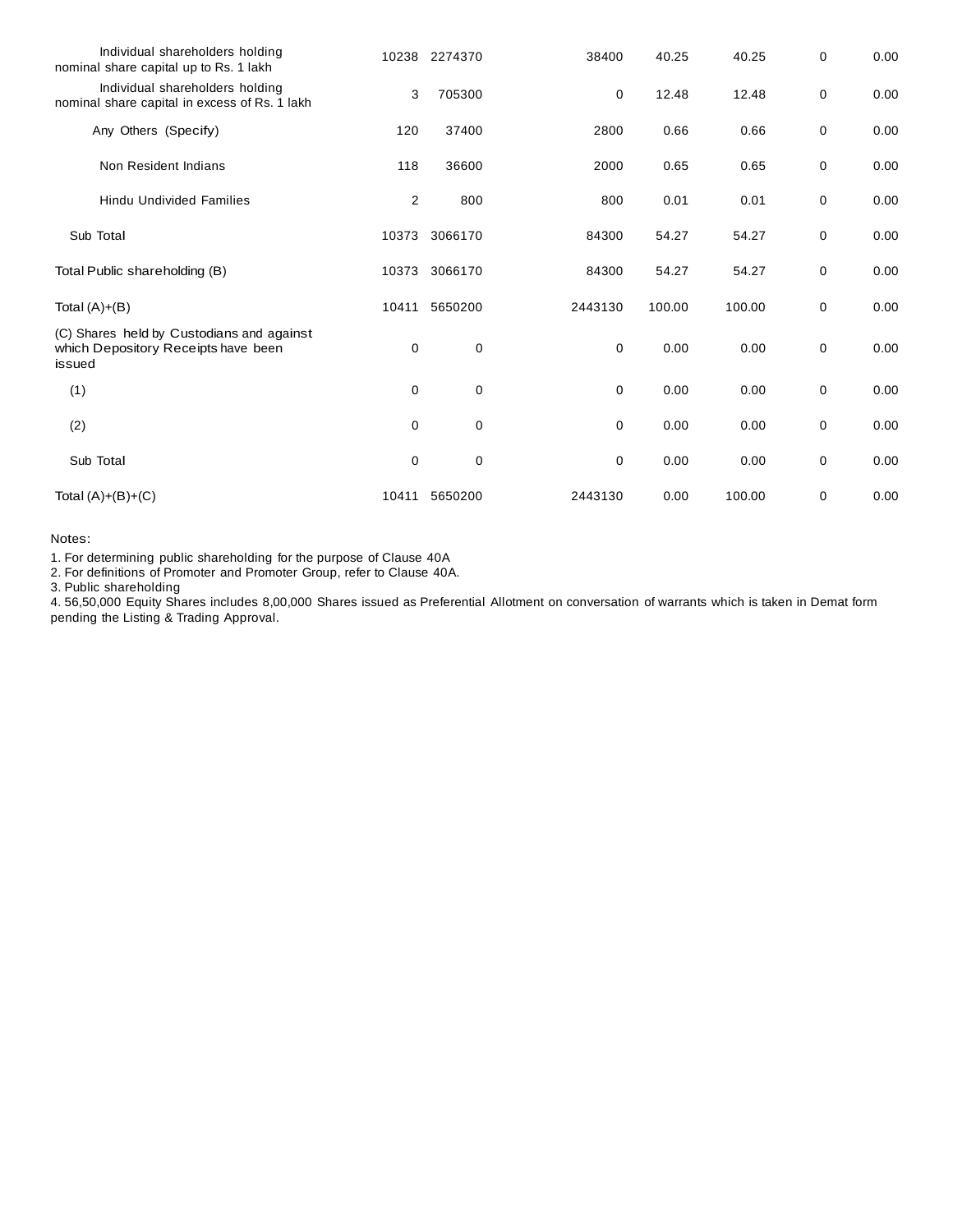| Individual shareholders holding<br>nominal share capital up to Rs. 1 lakh                  |             | 10238 2274370 | 38400       | 40.25  | 40.25  | 0 | 0.00 |
|--------------------------------------------------------------------------------------------|-------------|---------------|-------------|--------|--------|---|------|
| Individual shareholders holding<br>nominal share capital in excess of Rs. 1 lakh           | 3           | 705300        | 0           | 12.48  | 12.48  | 0 | 0.00 |
| Any Others (Specify)                                                                       | 120         | 37400         | 2800        | 0.66   | 0.66   | 0 | 0.00 |
| Non Resident Indians                                                                       | 118         | 36600         | 2000        | 0.65   | 0.65   | 0 | 0.00 |
| <b>Hindu Undivided Families</b>                                                            | 2           | 800           | 800         | 0.01   | 0.01   | 0 | 0.00 |
| Sub Total                                                                                  | 10373       | 3066170       | 84300       | 54.27  | 54.27  | 0 | 0.00 |
| Total Public shareholding (B)                                                              | 10373       | 3066170       | 84300       | 54.27  | 54.27  | 0 | 0.00 |
| Total $(A)+(B)$                                                                            | 10411       | 5650200       | 2443130     | 100.00 | 100.00 | 0 | 0.00 |
| (C) Shares held by Custodians and against<br>which Depository Receipts have been<br>issued | 0           | $\mathbf 0$   | $\mathbf 0$ | 0.00   | 0.00   | 0 | 0.00 |
| (1)                                                                                        | $\mathbf 0$ | $\mathbf 0$   | $\mathbf 0$ | 0.00   | 0.00   | 0 | 0.00 |
| (2)                                                                                        | $\mathbf 0$ | $\mathbf 0$   | $\mathbf 0$ | 0.00   | 0.00   | 0 | 0.00 |
| Sub Total                                                                                  | 0           | $\mathbf 0$   | 0           | 0.00   | 0.00   | 0 | 0.00 |
| Total $(A)+(B)+(C)$                                                                        | 10411       | 5650200       | 2443130     | 0.00   | 100.00 | 0 | 0.00 |

Notes:

1. For determining public shareholding for the purpose of Clause 40A

2. For definitions of Promoter and Promoter Group, refer to Clause 40A.

3. Public shareholding

4. 56,50,000 Equity Shares includes 8,00,000 Shares issued as Preferential Allotment on conversation of warrants which is taken in Demat form pending the Listing & Trading Approval.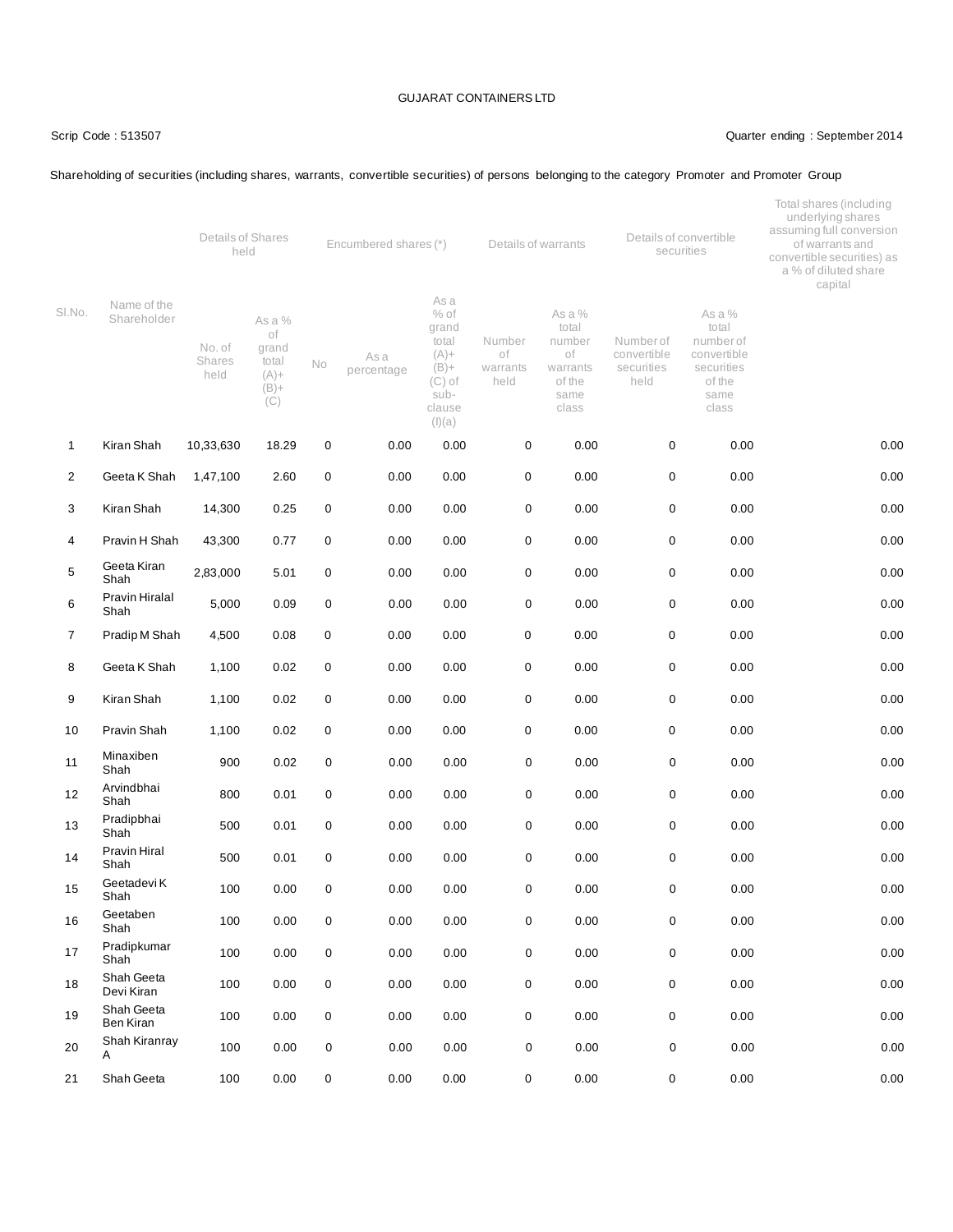#### Scrip Code : 513507 Quarter ending : September 2014

# Shareholding of securities (including shares, warrants, convertible securities) of persons belonging to the category Promoter and Promoter Group

|                |                            | Details of Shares<br>held |                                                             |                  | Encumbered shares (*) |                                                                                                |                                  | Details of warrants                                                    |                                                | Details of convertible<br>securities                                                 | Total shares (including<br>underlying shares<br>assuming full conversion<br>of warrants and<br>convertible securities) as<br>a % of diluted share<br>capital |  |
|----------------|----------------------------|---------------------------|-------------------------------------------------------------|------------------|-----------------------|------------------------------------------------------------------------------------------------|----------------------------------|------------------------------------------------------------------------|------------------------------------------------|--------------------------------------------------------------------------------------|--------------------------------------------------------------------------------------------------------------------------------------------------------------|--|
| SI.No.         | Name of the<br>Shareholder | No. of<br>Shares<br>held  | As a %<br>of<br>grand<br>total<br>$(A) +$<br>$(B) +$<br>(C) | No               | As a<br>percentage    | As a<br>$%$ of<br>grand<br>total<br>$(A) +$<br>$(B) +$<br>$(C)$ of<br>sub-<br>clause<br>(I)(a) | Number<br>of<br>warrants<br>held | As a %<br>total<br>number<br>оf<br>warrants<br>of the<br>same<br>class | Number of<br>convertible<br>securities<br>held | As a %<br>total<br>number of<br>convertible<br>securities<br>of the<br>same<br>class |                                                                                                                                                              |  |
| $\mathbf 1$    | Kiran Shah                 | 10,33,630                 | 18.29                                                       | $\mathbf 0$      | 0.00                  | 0.00                                                                                           | $\pmb{0}$                        | 0.00                                                                   | 0                                              | 0.00                                                                                 | 0.00                                                                                                                                                         |  |
| $\overline{2}$ | Geeta K Shah               | 1,47,100                  | 2.60                                                        | 0                | 0.00                  | 0.00                                                                                           | $\pmb{0}$                        | 0.00                                                                   | 0                                              | 0.00                                                                                 | 0.00                                                                                                                                                         |  |
| 3              | Kiran Shah                 | 14,300                    | 0.25                                                        | 0                | 0.00                  | 0.00                                                                                           | $\mathbf 0$                      | 0.00                                                                   | 0                                              | 0.00                                                                                 | 0.00                                                                                                                                                         |  |
| 4              | Pravin H Shah              | 43,300                    | 0.77                                                        | 0                | 0.00                  | 0.00                                                                                           | $\mathbf 0$                      | 0.00                                                                   | 0                                              | 0.00                                                                                 | 0.00                                                                                                                                                         |  |
| 5              | Geeta Kiran<br>Shah        | 2,83,000                  | 5.01                                                        | 0                | 0.00                  | 0.00                                                                                           | 0                                | 0.00                                                                   | 0                                              | 0.00                                                                                 | 0.00                                                                                                                                                         |  |
| 6              | Pravin Hiralal<br>Shah     | 5,000                     | 0.09                                                        | $\boldsymbol{0}$ | 0.00                  | 0.00                                                                                           | $\pmb{0}$                        | 0.00                                                                   | $\mathsf 0$                                    | 0.00                                                                                 | 0.00                                                                                                                                                         |  |
| 7              | Pradip M Shah              | 4,500                     | 0.08                                                        | 0                | 0.00                  | 0.00                                                                                           | $\mathbf 0$                      | 0.00                                                                   | 0                                              | 0.00                                                                                 | 0.00                                                                                                                                                         |  |
| 8              | Geeta K Shah               | 1,100                     | 0.02                                                        | 0                | 0.00                  | 0.00                                                                                           | $\mathbf 0$                      | 0.00                                                                   | $\pmb{0}$                                      | 0.00                                                                                 | 0.00                                                                                                                                                         |  |
| 9              | Kiran Shah                 | 1,100                     | 0.02                                                        | 0                | 0.00                  | 0.00                                                                                           | $\pmb{0}$                        | 0.00                                                                   | $\mathbf 0$                                    | 0.00                                                                                 | 0.00                                                                                                                                                         |  |
| 10             | Pravin Shah                | 1,100                     | 0.02                                                        | 0                | 0.00                  | 0.00                                                                                           | $\pmb{0}$                        | 0.00                                                                   | 0                                              | 0.00                                                                                 | 0.00                                                                                                                                                         |  |
| 11             | Minaxiben<br>Shah          | 900                       | 0.02                                                        | $\mathbf 0$      | 0.00                  | 0.00                                                                                           | $\mathbf 0$                      | 0.00                                                                   | 0                                              | 0.00                                                                                 | 0.00                                                                                                                                                         |  |
| 12             | Arvindbhai<br>Shah         | 800                       | 0.01                                                        | 0                | 0.00                  | 0.00                                                                                           | 0                                | 0.00                                                                   | 0                                              | 0.00                                                                                 | 0.00                                                                                                                                                         |  |
| 13             | Pradipbhai<br>Shah         | 500                       | 0.01                                                        | $\mathbf 0$      | 0.00                  | 0.00                                                                                           | 0                                | 0.00                                                                   | 0                                              | 0.00                                                                                 | 0.00                                                                                                                                                         |  |
| 14             | Pravin Hiral<br>Shah       | 500                       | 0.01                                                        | $\mathbf 0$      | 0.00                  | 0.00                                                                                           | 0                                | 0.00                                                                   | 0                                              | 0.00                                                                                 | 0.00                                                                                                                                                         |  |
| 15             | Geetadevi K<br>Shah        | 100                       | 0.00                                                        | 0                | 0.00                  | 0.00                                                                                           | 0                                | 0.00                                                                   | 0                                              | 0.00                                                                                 | 0.00                                                                                                                                                         |  |
| 16             | Geetaben<br>Shah           | 100                       | 0.00                                                        | 0                | 0.00                  | 0.00                                                                                           | 0                                | 0.00                                                                   | 0                                              | 0.00                                                                                 | 0.00                                                                                                                                                         |  |
| 17             | Pradipkumar<br>Shah        | 100                       | 0.00                                                        | 0                | 0.00                  | 0.00                                                                                           | 0                                | 0.00                                                                   | $\pmb{0}$                                      | 0.00                                                                                 | 0.00                                                                                                                                                         |  |
| 18             | Shah Geeta<br>Devi Kiran   | 100                       | 0.00                                                        | 0                | 0.00                  | 0.00                                                                                           | $\pmb{0}$                        | 0.00                                                                   | 0                                              | 0.00                                                                                 | 0.00                                                                                                                                                         |  |
| 19             | Shah Geeta<br>Ben Kiran    | 100                       | 0.00                                                        | 0                | 0.00                  | 0.00                                                                                           | $\pmb{0}$                        | 0.00                                                                   | $\mathbf 0$                                    | 0.00                                                                                 | 0.00                                                                                                                                                         |  |
| 20             | Shah Kiranray<br>Α         | 100                       | 0.00                                                        | $\mathbf 0$      | 0.00                  | 0.00                                                                                           | 0                                | 0.00                                                                   | 0                                              | 0.00                                                                                 | 0.00                                                                                                                                                         |  |
| 21             | Shah Geeta                 | 100                       | 0.00                                                        | 0                | 0.00                  | 0.00                                                                                           | 0                                | 0.00                                                                   | $\mathbf 0$                                    | 0.00                                                                                 | 0.00                                                                                                                                                         |  |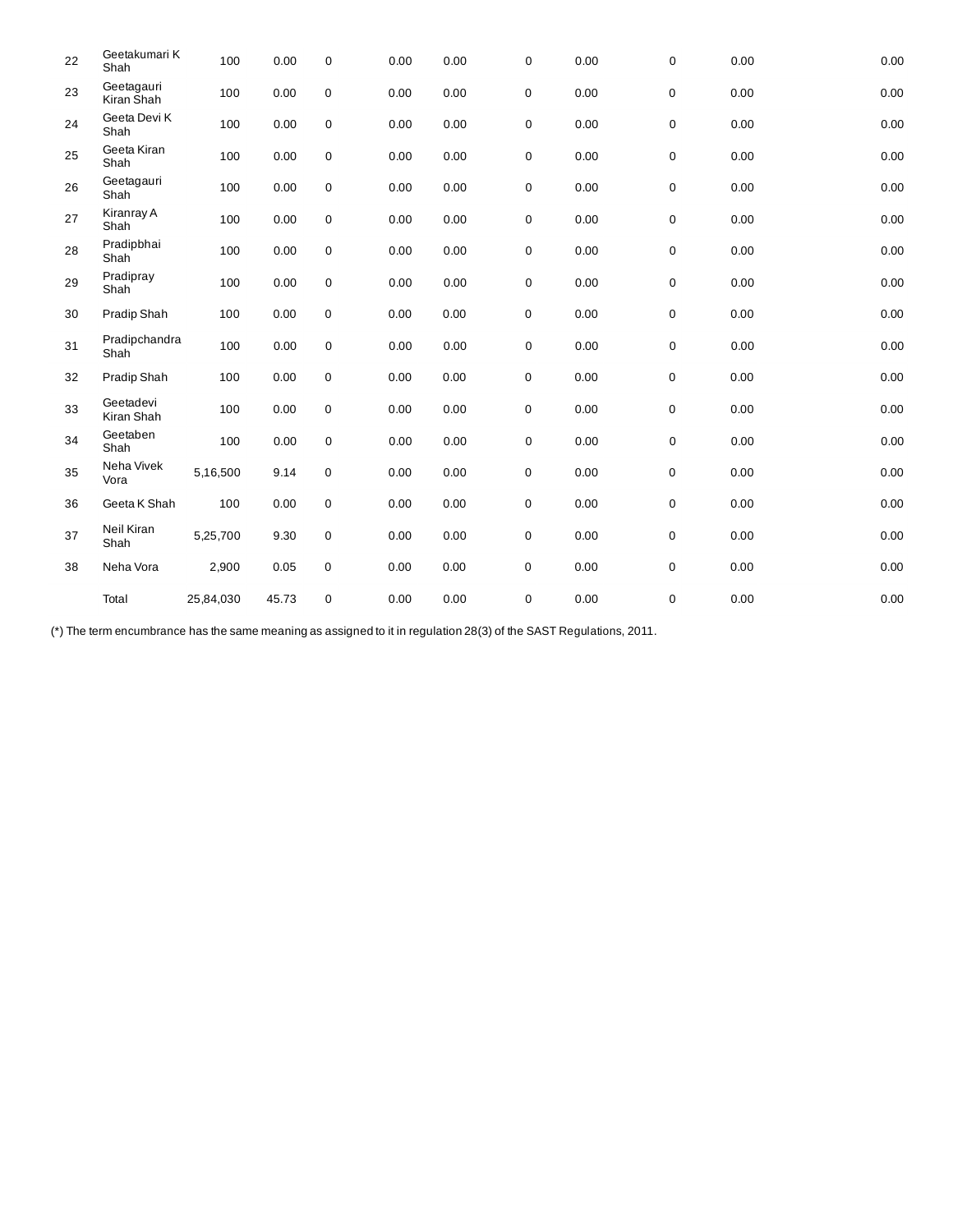| 22 | Geetakumari K<br>Shah    | 100       | 0.00  | $\mathbf 0$ | 0.00 | 0.00 | 0           | 0.00 | 0 | 0.00 | 0.00 |
|----|--------------------------|-----------|-------|-------------|------|------|-------------|------|---|------|------|
| 23 | Geetagauri<br>Kiran Shah | 100       | 0.00  | $\mathsf 0$ | 0.00 | 0.00 | 0           | 0.00 | 0 | 0.00 | 0.00 |
| 24 | Geeta Devi K<br>Shah     | 100       | 0.00  | $\mathbf 0$ | 0.00 | 0.00 | 0           | 0.00 | 0 | 0.00 | 0.00 |
| 25 | Geeta Kiran<br>Shah      | 100       | 0.00  | $\mathbf 0$ | 0.00 | 0.00 | 0           | 0.00 | 0 | 0.00 | 0.00 |
| 26 | Geetagauri<br>Shah       | 100       | 0.00  | $\mathbf 0$ | 0.00 | 0.00 | 0           | 0.00 | 0 | 0.00 | 0.00 |
| 27 | Kiranray A<br>Shah       | 100       | 0.00  | $\mathbf 0$ | 0.00 | 0.00 | $\mathsf 0$ | 0.00 | 0 | 0.00 | 0.00 |
| 28 | Pradipbhai<br>Shah       | 100       | 0.00  | $\mathbf 0$ | 0.00 | 0.00 | 0           | 0.00 | 0 | 0.00 | 0.00 |
| 29 | Pradipray<br>Shah        | 100       | 0.00  | $\mathbf 0$ | 0.00 | 0.00 | 0           | 0.00 | 0 | 0.00 | 0.00 |
| 30 | Pradip Shah              | 100       | 0.00  | $\pmb{0}$   | 0.00 | 0.00 | 0           | 0.00 | 0 | 0.00 | 0.00 |
| 31 | Pradipchandra<br>Shah    | 100       | 0.00  | $\mathbf 0$ | 0.00 | 0.00 | 0           | 0.00 | 0 | 0.00 | 0.00 |
| 32 | Pradip Shah              | 100       | 0.00  | $\mathsf 0$ | 0.00 | 0.00 | 0           | 0.00 | 0 | 0.00 | 0.00 |
| 33 | Geetadevi<br>Kiran Shah  | 100       | 0.00  | $\mathbf 0$ | 0.00 | 0.00 | 0           | 0.00 | 0 | 0.00 | 0.00 |
| 34 | Geetaben<br>Shah         | 100       | 0.00  | $\mathbf 0$ | 0.00 | 0.00 | 0           | 0.00 | 0 | 0.00 | 0.00 |
| 35 | Neha Vivek<br>Vora       | 5,16,500  | 9.14  | $\mathsf 0$ | 0.00 | 0.00 | $\pmb{0}$   | 0.00 | 0 | 0.00 | 0.00 |
| 36 | Geeta K Shah             | 100       | 0.00  | 0           | 0.00 | 0.00 | 0           | 0.00 | 0 | 0.00 | 0.00 |
| 37 | Neil Kiran<br>Shah       | 5,25,700  | 9.30  | 0           | 0.00 | 0.00 | 0           | 0.00 | 0 | 0.00 | 0.00 |
| 38 | Neha Vora                | 2,900     | 0.05  | $\mathbf 0$ | 0.00 | 0.00 | 0           | 0.00 | 0 | 0.00 | 0.00 |
|    | Total                    | 25,84,030 | 45.73 | 0           | 0.00 | 0.00 | 0           | 0.00 | 0 | 0.00 | 0.00 |

(\*) The term encumbrance has the same meaning as assigned to it in regulation 28(3) of the SAST Regulations, 2011.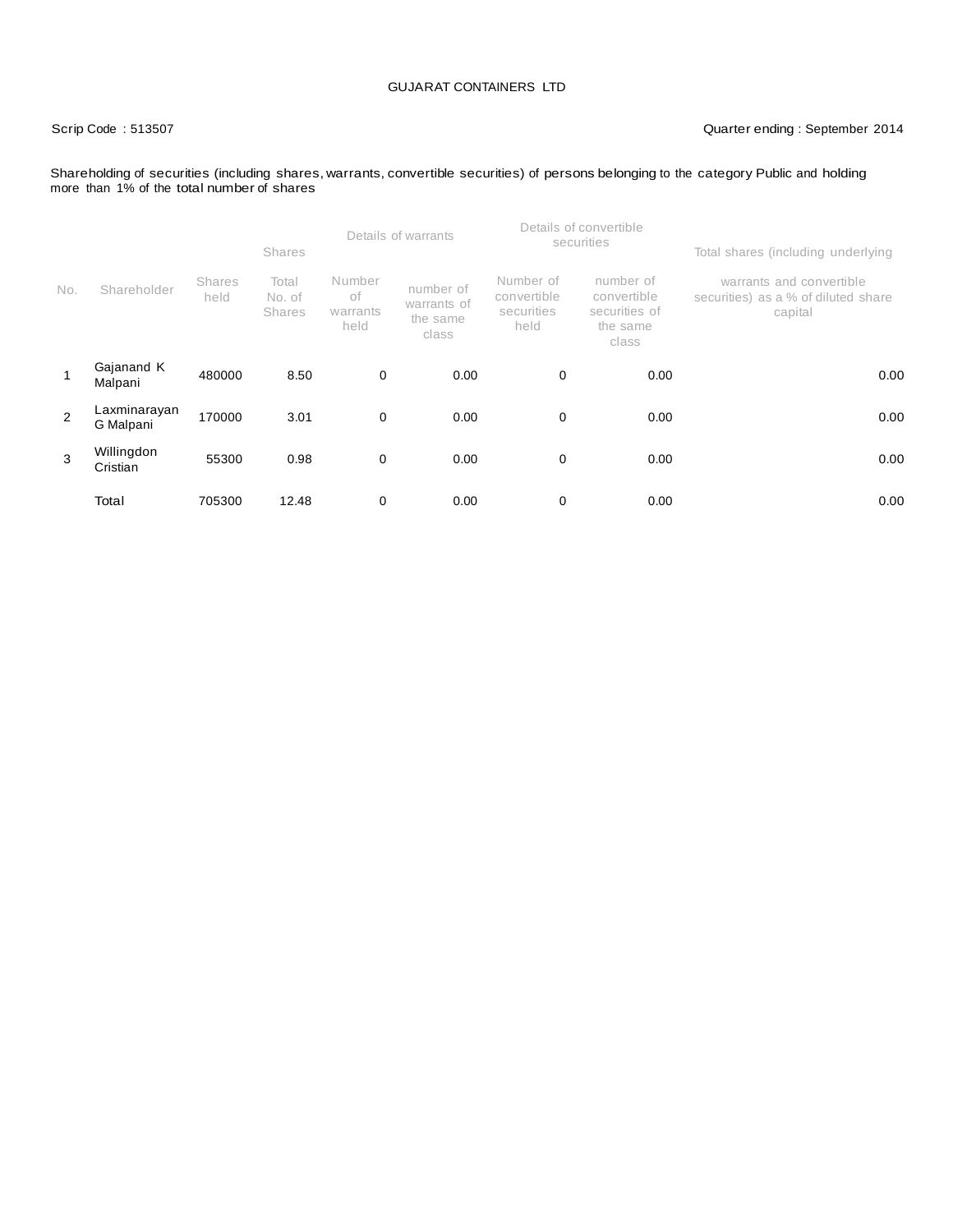# Scrip Code : 513507 Quarter ending : September 2014

#### Shareholding of securities (including shares, warrants, convertible securities) of persons belonging to the category Public and holding more than 1% of the total number of shares

|                |                           |                       | <b>Shares</b>                    |                                  | Details of warrants                           |                                                | Details of convertible<br>securities                           | Total shares (including underlying                                         |
|----------------|---------------------------|-----------------------|----------------------------------|----------------------------------|-----------------------------------------------|------------------------------------------------|----------------------------------------------------------------|----------------------------------------------------------------------------|
| No.            | Shareholder               | <b>Shares</b><br>held | Total<br>No. of<br><b>Shares</b> | Number<br>оf<br>warrants<br>held | number of<br>warrants of<br>the same<br>class | Number of<br>convertible<br>securities<br>held | number of<br>convertible<br>securities of<br>the same<br>class | warrants and convertible<br>securities) as a % of diluted share<br>capital |
|                | Gajanand K<br>Malpani     | 480000                | 8.50                             | $\mathbf 0$                      | 0.00                                          | 0                                              | 0.00                                                           | 0.00                                                                       |
| $\overline{2}$ | Laxminarayan<br>G Malpani | 170000                | 3.01                             | $\mathbf 0$                      | 0.00                                          | 0                                              | 0.00                                                           | 0.00                                                                       |
| 3              | Willingdon<br>Cristian    | 55300                 | 0.98                             | 0                                | 0.00                                          | 0                                              | 0.00                                                           | 0.00                                                                       |
|                | Total                     | 705300                | 12.48                            | 0                                | 0.00                                          | 0                                              | 0.00                                                           | 0.00                                                                       |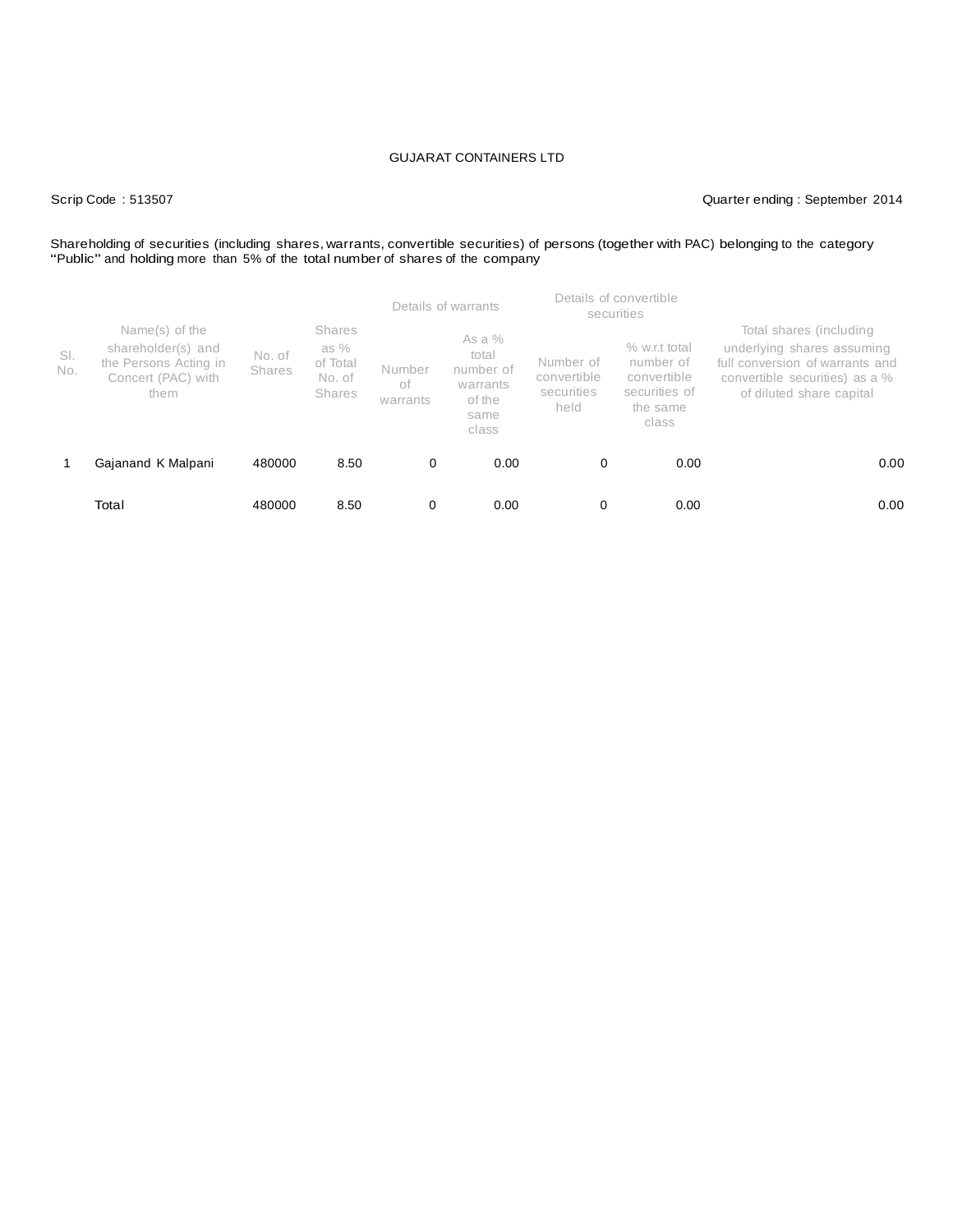## Scrip Code : 513507 Quarter ending : September 2014

# Shareholding of securities (including shares, warrants, convertible securities) of persons (together with PAC) belonging to the category<br>"Public" and holding more than 5% of the total number of shares of the company

|            |                                                                                             |                         |                                                         |                          | Details of warrants                                                   |                                                | Details of convertible<br>securities                                            |                                                                                                                                                        |
|------------|---------------------------------------------------------------------------------------------|-------------------------|---------------------------------------------------------|--------------------------|-----------------------------------------------------------------------|------------------------------------------------|---------------------------------------------------------------------------------|--------------------------------------------------------------------------------------------------------------------------------------------------------|
| SI.<br>No. | Name(s) of the<br>shareholder(s) and<br>the Persons Acting in<br>Concert (PAC) with<br>them | No. of<br><b>Shares</b> | <b>Shares</b><br>as $%$<br>of Total<br>No. of<br>Shares | Number<br>оf<br>warrants | As a $%$<br>total<br>number of<br>warrants<br>of the<br>same<br>class | Number of<br>convertible<br>securities<br>held | % w.r.t total<br>number of<br>convertible<br>securities of<br>the same<br>class | Total shares (including<br>underlying shares assuming<br>full conversion of warrants and<br>convertible securities) as a %<br>of diluted share capital |
|            | Gajanand K Malpani                                                                          | 480000                  | 8.50                                                    | 0                        | 0.00                                                                  | 0                                              | 0.00                                                                            | 0.00                                                                                                                                                   |
|            | Total                                                                                       | 480000                  | 8.50                                                    | 0                        | 0.00                                                                  | 0                                              | 0.00                                                                            | 0.00                                                                                                                                                   |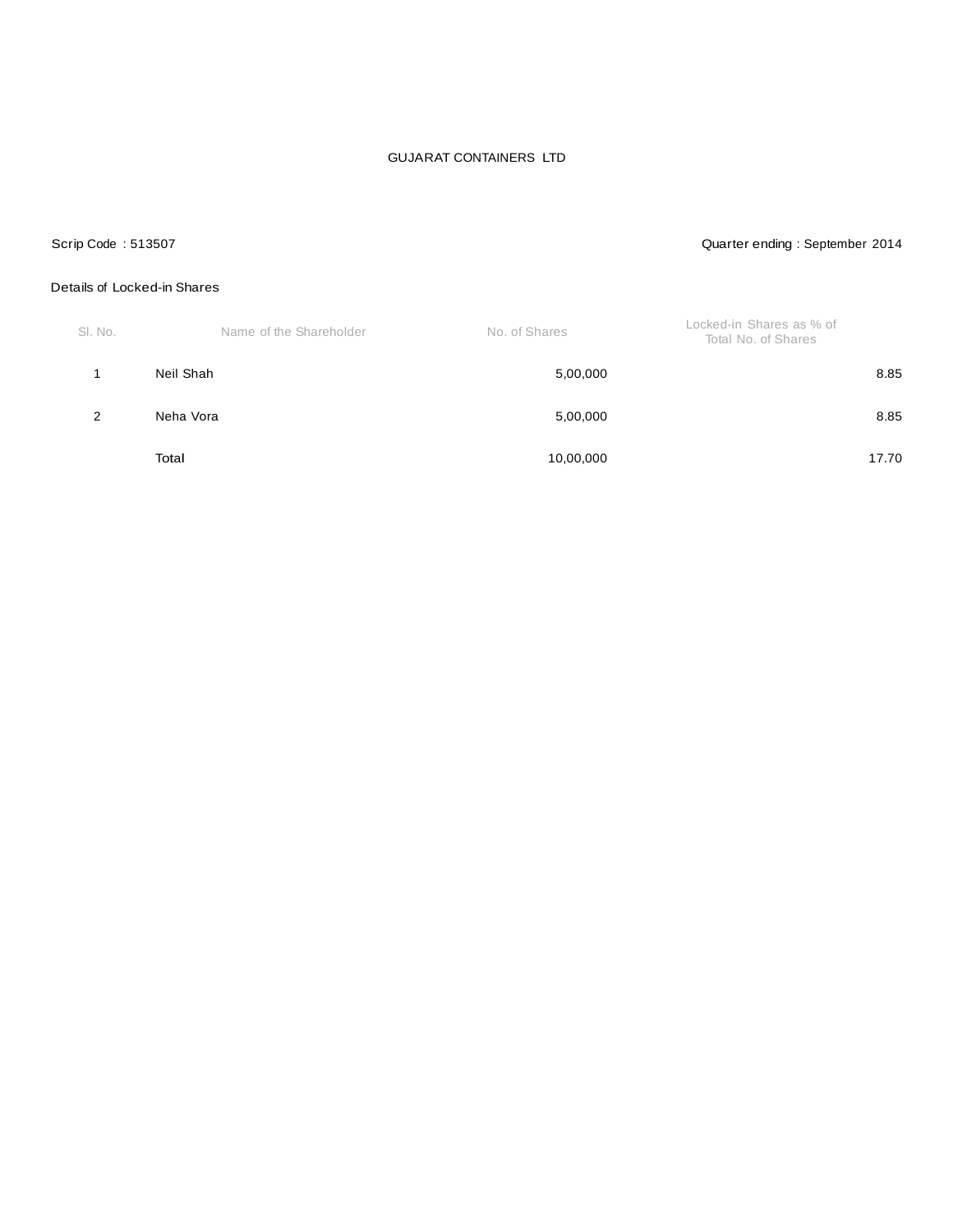## Scrip Code : 513507 Quarter ending : September 2014

### Details of Locked-in Shares

| SI. No. | Name of the Shareholder | No. of Shares | Locked-in Shares as % of<br>Total No. of Shares |
|---------|-------------------------|---------------|-------------------------------------------------|
|         | Neil Shah               | 5,00,000      | 8.85                                            |
| 2       | Neha Vora               | 5,00,000      | 8.85                                            |
|         | Total                   | 10,00,000     | 17.70                                           |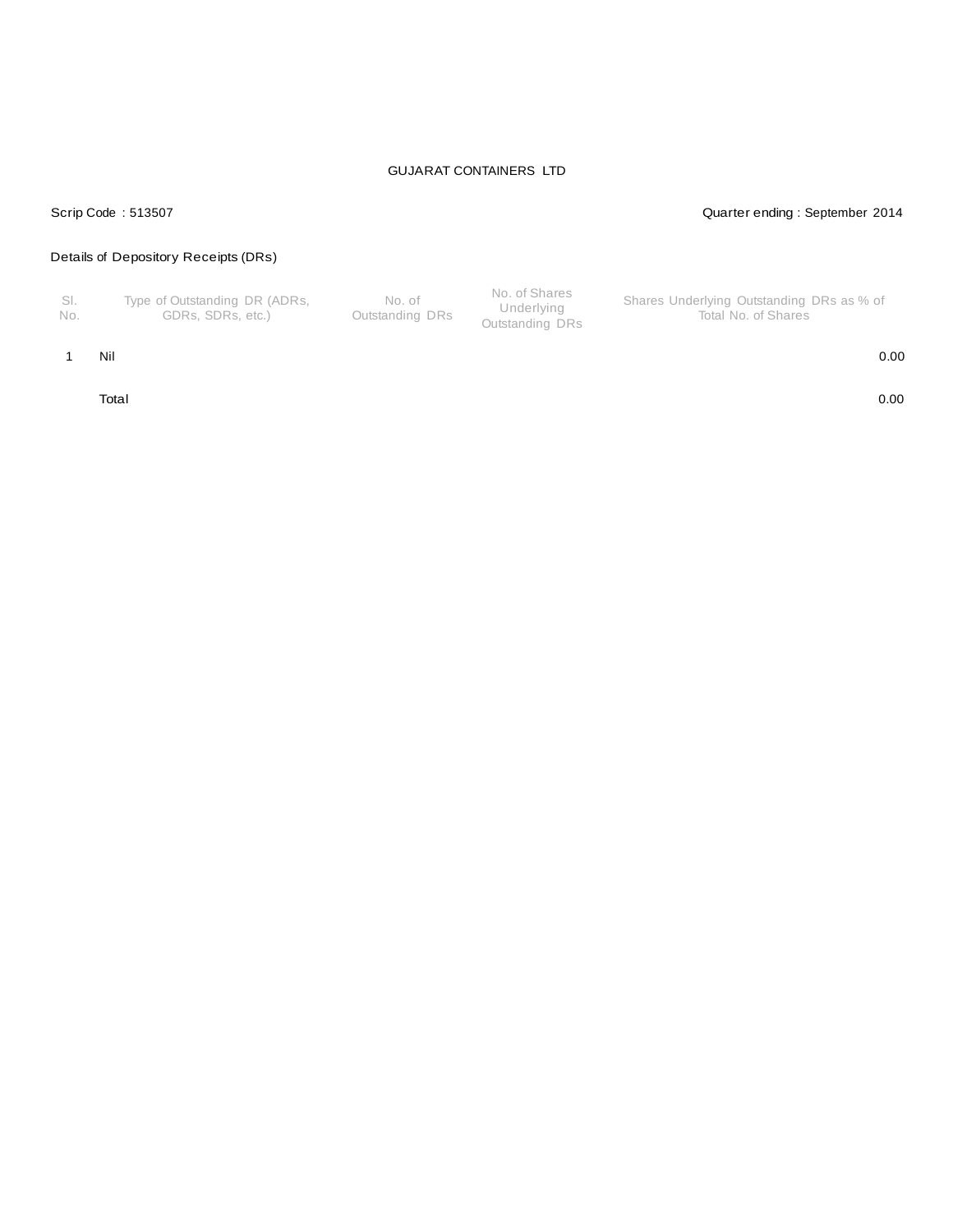## Scrip Code : 513507 Quarter ending : September 2014

# Details of Depository Receipts (DRs)

| - SI.<br>Type of Outstanding DR (ADRs,<br>No. of<br>Outstanding DRs<br>GDRs. SDRs. etc.)<br>No. | No. of Shares<br>Shares Underlying Outstanding DRs as % of<br>Underlying<br>Total No. of Shares<br>Outstanding DRs |
|-------------------------------------------------------------------------------------------------|--------------------------------------------------------------------------------------------------------------------|
|-------------------------------------------------------------------------------------------------|--------------------------------------------------------------------------------------------------------------------|

#### 1 Nil 0.00

Total 0.00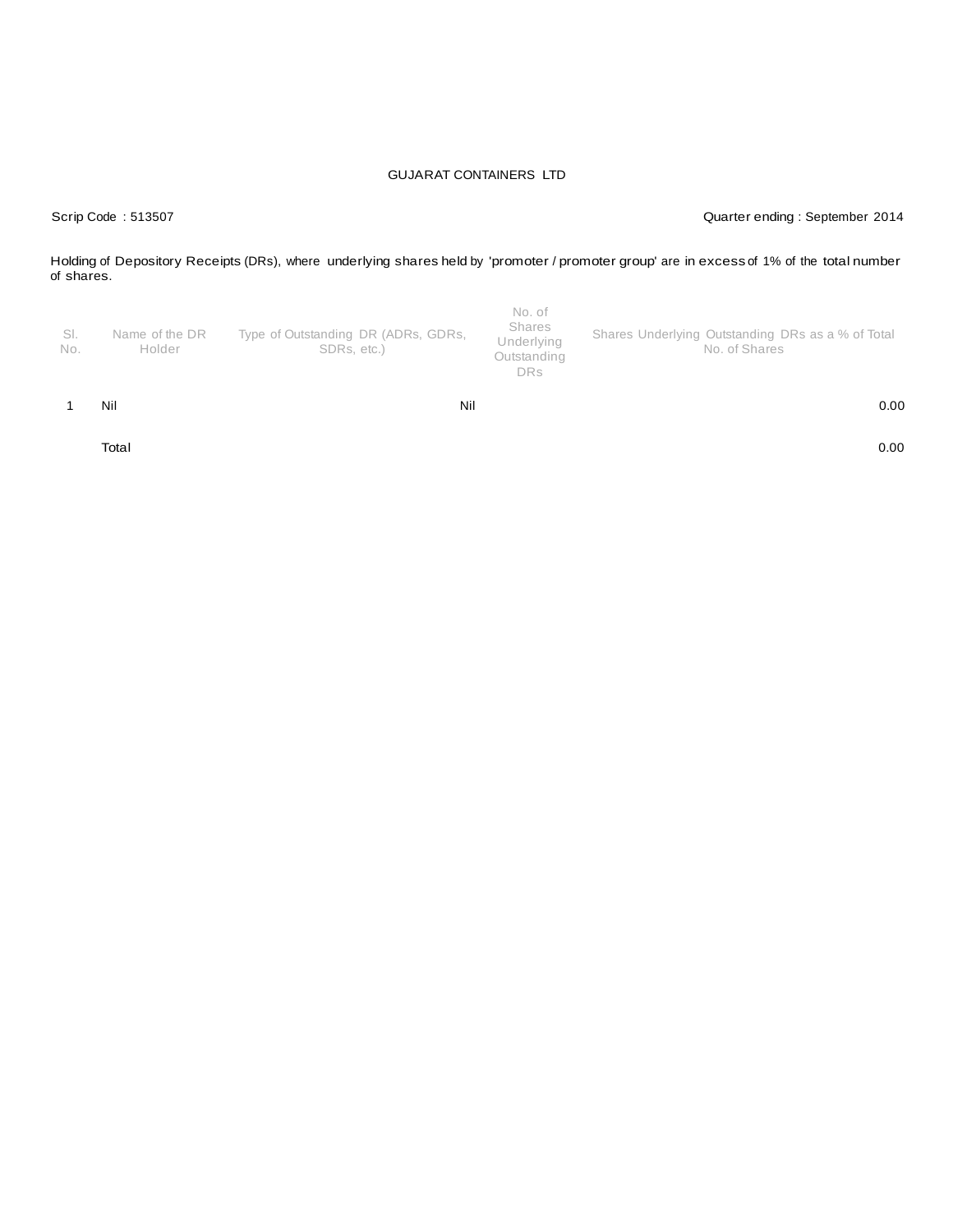Scrip Code : 513507 Quarter ending : September 2014

Holding of Depository Receipts (DRs), where underlying shares held by 'promoter / promoter group' are in excess of 1% of the total number of shares.

| SI.<br>No. | Name of the DR<br>Holder | Type of Outstanding DR (ADRs, GDRs,<br>SDRs. etc.) | Shares<br>Underlying<br>Outstanding<br><b>DRs</b> | Shares Underlying Outstanding DRs as a % of Total<br>No. of Shares |
|------------|--------------------------|----------------------------------------------------|---------------------------------------------------|--------------------------------------------------------------------|
|            | Nil                      | Nil                                                |                                                   | 0.00                                                               |

Total 0.00